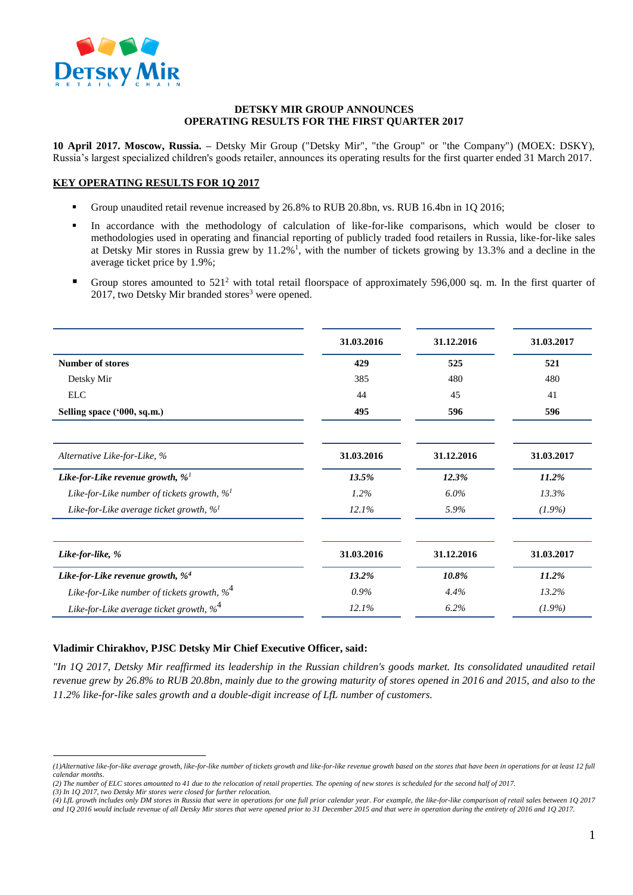

### **DETSKY MIR GROUP ANNOUNCES OPERATING RESULTS FOR THE FIRST QUARTER 2017**

**10 April 2017. Moscow, Russia. –** Detsky Mir Group ("Detsky Mir", "the Group" or "the Company") (MOEX: DSKY), Russia's largest specialized children's goods retailer, announces its operating results for the first quarter ended 31 March 2017.

# **KEY OPERATING RESULTS FOR 1Q 2017**

- Group unaudited retail revenue increased by 26.8% to RUB 20.8bn, vs. RUB 16.4bn in 1Q 2016;
- In accordance with the methodology of calculation of like-for-like comparisons, which would be closer to methodologies used in operating and financial reporting of publicly traded food retailers in Russia, like-for-like sales at Detsky Mir stores in Russia grew by  $11.2\%$ <sup>1</sup>, with the number of tickets growing by 13.3% and a decline in the average ticket price by 1.9%;
- Group stores amounted to  $521<sup>2</sup>$  with total retail floorspace of approximately 596,000 sq. m. In the first quarter of  $2017$ , two Detsky Mir branded stores<sup>3</sup> were opened.

| 31.03.2016 | 31.12.2016 | 31.03.2017 |
|------------|------------|------------|
| 429        | 525        | 521        |
| 385        | 480        | 480        |
| 44         | 45         | 41         |
| 495        | 596        | 596        |
| 31.03.2016 | 31.12.2016 | 31.03.2017 |
| 13.5%      | 12.3%      | 11.2%      |
| $1.2\%$    | $6.0\%$    | 13.3%      |
| 12.1%      | 5.9%       | $(1.9\%)$  |
| 31.03.2016 | 31.12.2016 | 31.03.2017 |
| 13.2%      | 10.8%      | 11.2%      |
| $0.9\%$    | 4.4%       | 13.2%      |
| 12.1%      | 6.2%       | $(1.9\%)$  |
|            |            |            |

# **Vladimir Chirakhov, PJSC Detsky Mir Chief Executive Officer, said:**

*"In 1Q 2017, Detsky Mir reaffirmed its leadership in the Russian children's goods market. Its consolidated unaudited retail revenue grew by 26.8% to RUB 20.8bn, mainly due to the growing maturity of stores opened in 2016 and 2015, and also to the 11.2% like-for-like sales growth and a double-digit increase of LfL number of customers.* 

*(3) In 1Q 2017, two Detsky Mir stores were closed for further relocation.*

 $\overline{a}$ 

*<sup>(1)</sup>Alternative like-for-like average growth, like-for-like number of tickets growth and like-for-like revenue growth based on the stores that have been in operations for at least 12 full calendar months.*

*<sup>(2)</sup> The number of ELC stores amounted to 41 due to the relocation of retail properties. The opening of new stores is scheduled for the second half of 2017.*

*<sup>(4)</sup> LfL growth includes only DM stores in Russia that were in operations for one full prior calendar year. For example, the like-for-like comparison of retail sales between 1Q 2017 and 1Q 2016 would include revenue of all Detsky Mir stores that were opened prior to 31 December 2015 and that were in operation during the entirety of 2016 and 1Q 2017.*